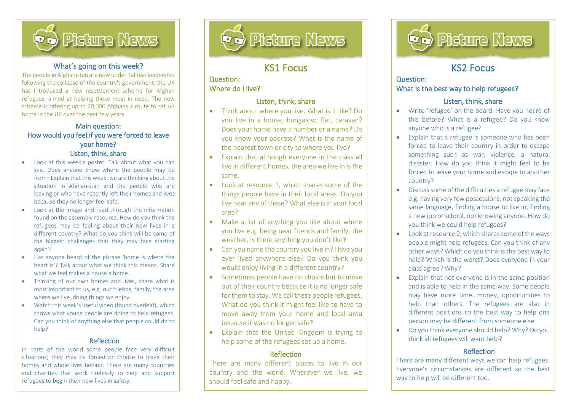

#### What's going on this week?

The people in Afghanistan are now under Taliban leadership following the collapse of the country's government, the UK has introduced a new resettlement scheme for Afghan refugees, aimed at helping those most in need. The new scheme is offering up to 20,000 Afghans a route to set up home in the UK over the next few years.

#### Main question: How would you feel if you were forced to leave your home? Listen, think, share

- Look at this week's poster. Talk about what you can see. Does anyone know where the people may be from? Explain that this week, we are thinking about the situation in Afghanistan and the people who are leaving or who have recently left their homes and lives because they no longer feel safe.
- Look at the image and read through the information found on the assembly resource. How do you think the refugees may be feeling about their new lives in a different country? What do you think will be some of the biggest challenges that they may face starting again?
- Has anyone heard of the phrase 'home is where the heart is'? Talk about what we think this means. Share what we feel makes a house a home.
- Thinking of our own homes and lives, share what is most important to us, e.g. our friends, family, the area where we live, doing things we enjoy.
- Watch this week's useful video (found overleaf), which shows what young people are doing to help refugees. Can you think of anything else that people could do to help?

#### Reflection

In parts of the world some people face very difficult situations; they may be forced or choose to leave their homes and whole lives behind. There are many countries and charities that work tirelessly to help and support refugees to begin their new lives in safety.



# KS1 Focus

l

#### Question: Where do I live?

İ,

#### Listen, think, share

- Think about where you live. What is it like? Do you live in a house, bungalow, flat, caravan? Does your home have a number or a name? Do you know your address? What is the name of the nearest town or city to where you live?
- Explain that although everyone in the class all live in different homes, the area we live in is the same.
- Look at resource 1, which shares some of the things people have in their local areas. Do you live near any of these? What else is in your local area?
- Make a list of anything you like about where you live e.g. being near friends and family, the weather. Is there anything you don't like?
- Can you name the country you live in? Have you ever lived anywhere else? Do you think you would enjoy living in a different country?
- Sometimes people have no choice but to move out of their country because it is no longer safe for them to stay. We call these people refugees. What do you think it might feel like to have to move away from your home and local area because it was no longer safe?
- Explain that the United Kingdom is trying to help some of the refugees set up a home.

#### Reflection

There are many different places to live in our country and the world. Wherever we live, we should feel safe and happy.



# KS2 Focus

l

#### Question: What is the best way to help refugees?

#### Listen, think, share

- Write 'refugee' on the board. Have you heard of this before? What is a refugee? Do you know anyone who is a refugee?
- Explain that a refugee is someone who has been forced to leave their country in order to escape something such as war, violence, a natural disaster. How do you think it might feel to be forced to leave your home and escape to another country?
- Discuss some of the difficulties a refugee may face e.g. having very few possessions, not speaking the same language, finding a house to live in, finding a new job or school, not knowing anyone. How do you think we could help refugees?
- Look at resource 2, which shares some of the ways people might help refugees. Can you think of any other ways? Which do you think is the best way to help? Which is the worst? Does everyone in your class agree? Why?
- Explain that not everyone is in the same position and is able to help in the same way. Some people may have more time, money, opportunities to help than others. The refugees are also in different positions so the best way to help one person may be different from someone else.
- Do you think everyone should help? Why? Do you think all refugees will want help?

#### Reflection

There are many different ways we can help refugees. Everyone's circumstances are different so the best way to help will be different too.